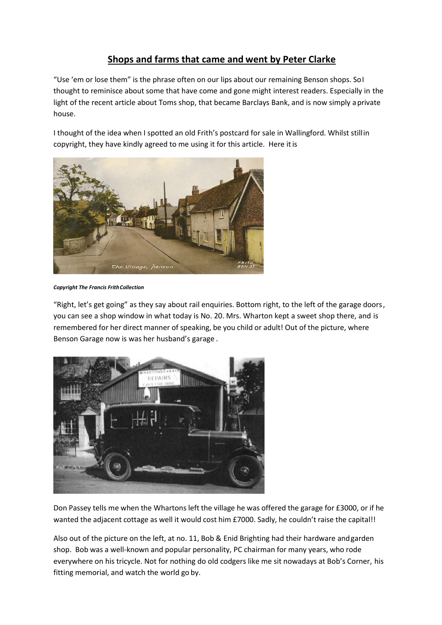## **Shops and farms that came and went by Peter Clarke**

"Use 'em or lose them" is the phrase often on our lips about our remaining Benson shops. SoI thought to reminisce about some that have come and gone might interest readers. Especially in the light of the recent article about Toms shop, that became Barclays Bank, and is now simply aprivate house.

I thought of the idea when I spotted an old Frith's postcard for sale in Wallingford. Whilst stillin copyright, they have kindly agreed to me using it for this article. Here it is



*Copyright The Francis FrithCollection*

"Right, let's get going" as they say about rail enquiries. Bottom right, to the left of the garage doors, you can see a shop window in what today is No. 20. Mrs. Wharton kept a sweet shop there, and is remembered for her direct manner of speaking, be you child or adult! Out of the picture, where Benson Garage now is was her husband's garage .



Don Passey tells me when the Whartons left the village he was offered the garage for £3000, or if he wanted the adjacent cottage as well it would cost him £7000. Sadly, he couldn't raise the capital!!

Also out of the picture on the left, at no. 11, Bob & Enid Brighting had their hardware andgarden shop. Bob was a well-known and popular personality, PC chairman for many years, who rode everywhere on his tricycle. Not for nothing do old codgers like me sit nowadays at Bob's Corner, his fitting memorial, and watch the world go by.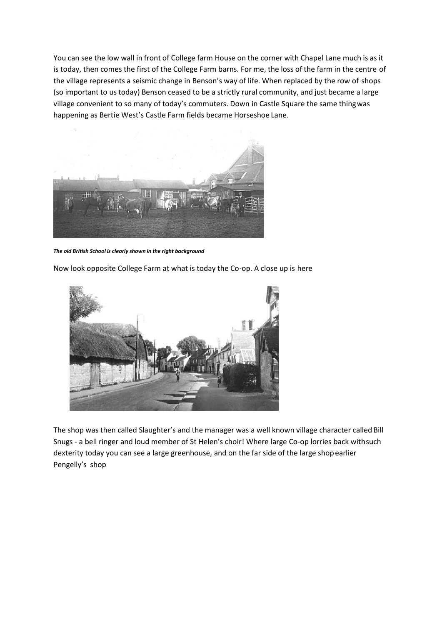You can see the low wall in front of College farm House on the corner with Chapel Lane much is as it is today, then comes the first of the College Farm barns. For me, the loss of the farm in the centre of the village represents a seismic change in Benson's way of life. When replaced by the row of shops (so important to us today) Benson ceased to be a strictly rural community, and just became a large village convenient to so many of today's commuters. Down in Castle Square the same thingwas happening as Bertie West's Castle Farm fields became Horseshoe Lane.



*The old British School is clearly shown in the right background*

Now look opposite College Farm at what is today the Co-op. A close up is here



The shop was then called Slaughter's and the manager was a well known village character called Bill Snugs - a bell ringer and loud member of St Helen's choir! Where large Co-op lorries back withsuch dexterity today you can see a large greenhouse, and on the far side of the large shopearlier Pengelly's shop